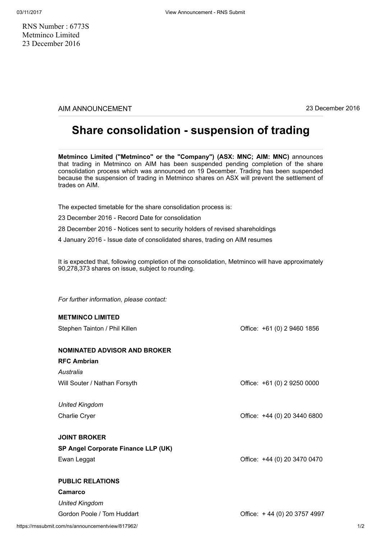RNS Number : 6773S Metminco Limited 23 December 2016

AIM ANNOUNCEMENT 23 December 2016

## Share consolidation - suspension of trading

Metminco Limited ("Metminco" or the "Company") (ASX: MNC; AIM: MNC) announces that trading in Metminco on AIM has been suspended pending completion of the share consolidation process which was announced on 19 December. Trading has been suspended because the suspension of trading in Metminco shares on ASX will prevent the settlement of trades on AIM.

The expected timetable for the share consolidation process is:

23 December 2016 - Record Date for consolidation

28 December 2016 - Notices sent to security holders of revised shareholdings

4 January 2016 - Issue date of consolidated shares, trading on AIM resumes

It is expected that, following completion of the consolidation, Metminco will have approximately 90,278,373 shares on issue, subject to rounding.

For further information, please contact:

METMINCO LIMITED

| <b>METMINGO LIMITED</b>             |                              |
|-------------------------------------|------------------------------|
| Stephen Tainton / Phil Killen       | Office: +61 (0) 2 9460 1856  |
|                                     |                              |
| <b>NOMINATED ADVISOR AND BROKER</b> |                              |
| <b>RFC Ambrian</b>                  |                              |
| Australia                           |                              |
| Will Souter / Nathan Forsyth        | Office: +61 (0) 2 9250 0000  |
|                                     |                              |
| <b>United Kingdom</b>               |                              |
| <b>Charlie Cryer</b>                | Office: +44 (0) 20 3440 6800 |
|                                     |                              |
| <b>JOINT BROKER</b>                 |                              |
| SP Angel Corporate Finance LLP (UK) |                              |
| Ewan Leggat                         | Office: +44 (0) 20 3470 0470 |
|                                     |                              |
| <b>PUBLIC RELATIONS</b>             |                              |
| <b>Camarco</b>                      |                              |
| <b>United Kingdom</b>               |                              |

Gordon Poole / Tom Huddart Correct Correct Correct Correct Correct Correct Correct Correct Correct Correct Correct Correct Correct Correct Correct Correct Correct Correct Correct Correct Correct Correct Correct Correct Cor